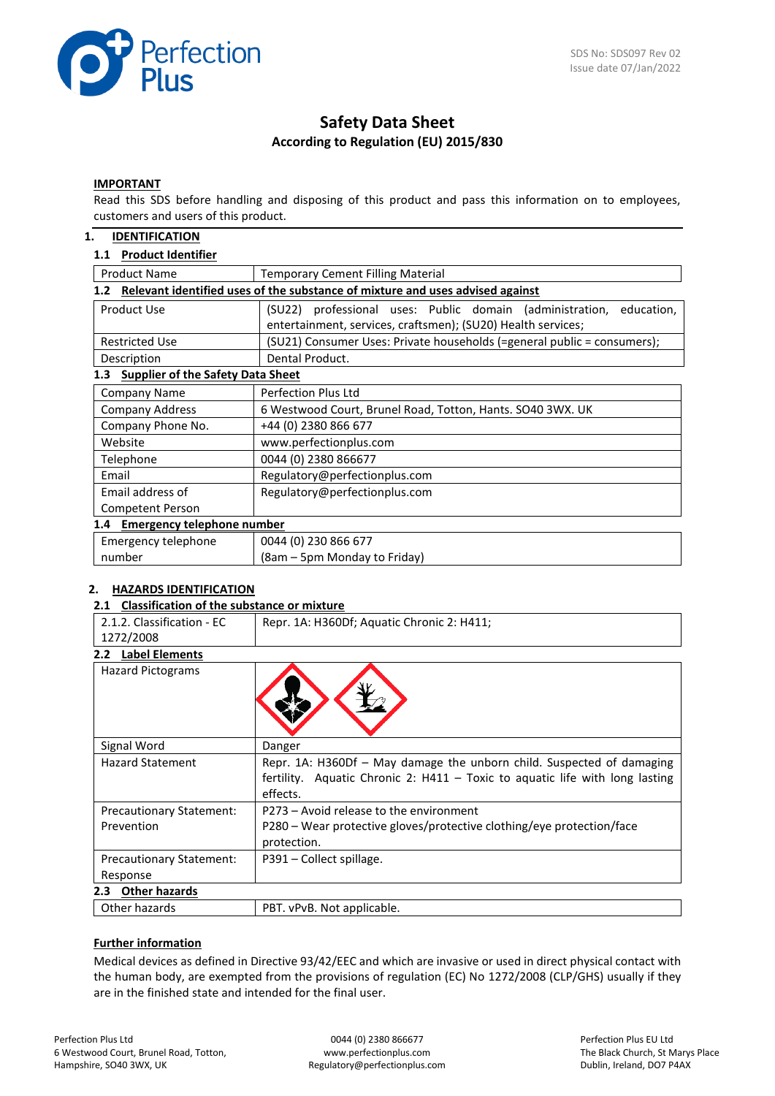

# **Safety Data Sheet According to Regulation (EU) 2015/830**

#### **IMPORTANT**

Read this SDS before handling and disposing of this product and pass this information on to employees, customers and users of this product.

# **1. IDENTIFICATION**

### **1.1 Product Identifier**

| <b>Product Name</b>                                                                               | <b>Temporary Cement Filling Material</b>                                                                                               |  |  |  |
|---------------------------------------------------------------------------------------------------|----------------------------------------------------------------------------------------------------------------------------------------|--|--|--|
| Relevant identified uses of the substance of mixture and uses advised against<br>1.2 <sub>2</sub> |                                                                                                                                        |  |  |  |
| Product Use                                                                                       | (SU22) professional uses: Public domain (administration,<br>education,<br>entertainment, services, craftsmen); (SU20) Health services; |  |  |  |
| <b>Restricted Use</b>                                                                             | (SU21) Consumer Uses: Private households (=general public = consumers);                                                                |  |  |  |
| Description                                                                                       | Dental Product.                                                                                                                        |  |  |  |
| <b>Supplier of the Safety Data Sheet</b><br>1.3                                                   |                                                                                                                                        |  |  |  |
| <b>Company Name</b>                                                                               | <b>Perfection Plus Ltd</b>                                                                                                             |  |  |  |
| <b>Company Address</b>                                                                            | 6 Westwood Court, Brunel Road, Totton, Hants. SO40 3WX. UK                                                                             |  |  |  |
| Company Phone No.                                                                                 | +44 (0) 2380 866 677                                                                                                                   |  |  |  |
| Website                                                                                           | www.perfectionplus.com                                                                                                                 |  |  |  |
| Telephone                                                                                         | 0044 (0) 2380 866677                                                                                                                   |  |  |  |
| Email                                                                                             | Regulatory@perfectionplus.com                                                                                                          |  |  |  |
| Email address of                                                                                  | Regulatory@perfectionplus.com                                                                                                          |  |  |  |
| Competent Person                                                                                  |                                                                                                                                        |  |  |  |
| 1.4 Emergency telephone number                                                                    |                                                                                                                                        |  |  |  |
| Emergency telephone                                                                               | 0044 (0) 230 866 677                                                                                                                   |  |  |  |
| number                                                                                            | (8am – 5pm Monday to Friday)                                                                                                           |  |  |  |

# **2. HAZARDS IDENTIFICATION**

#### **2.1 Classification of the substance or mixture**

| 1272/2008<br><b>Label Elements</b><br>2.2 <sub>2</sub><br><b>Hazard Pictograms</b><br>Signal Word<br>Danger<br><b>Hazard Statement</b><br>effects.<br>P273 – Avoid release to the environment<br>Precautionary Statement:<br>P280 – Wear protective gloves/protective clothing/eye protection/face<br>Prevention<br>protection.<br>P391 – Collect spillage.<br><b>Precautionary Statement:</b><br>Response<br><b>Other hazards</b><br>2.3 | 2.1.2. Classification - EC | Repr. 1A: H360Df; Aquatic Chronic 2: H411;                                                                                                            |
|-------------------------------------------------------------------------------------------------------------------------------------------------------------------------------------------------------------------------------------------------------------------------------------------------------------------------------------------------------------------------------------------------------------------------------------------|----------------------------|-------------------------------------------------------------------------------------------------------------------------------------------------------|
|                                                                                                                                                                                                                                                                                                                                                                                                                                           |                            |                                                                                                                                                       |
|                                                                                                                                                                                                                                                                                                                                                                                                                                           |                            |                                                                                                                                                       |
|                                                                                                                                                                                                                                                                                                                                                                                                                                           |                            |                                                                                                                                                       |
|                                                                                                                                                                                                                                                                                                                                                                                                                                           |                            |                                                                                                                                                       |
|                                                                                                                                                                                                                                                                                                                                                                                                                                           |                            | Repr. 1A: H360Df - May damage the unborn child. Suspected of damaging<br>fertility. Aquatic Chronic 2: H411 - Toxic to aquatic life with long lasting |
|                                                                                                                                                                                                                                                                                                                                                                                                                                           |                            |                                                                                                                                                       |
|                                                                                                                                                                                                                                                                                                                                                                                                                                           |                            |                                                                                                                                                       |
|                                                                                                                                                                                                                                                                                                                                                                                                                                           |                            |                                                                                                                                                       |
|                                                                                                                                                                                                                                                                                                                                                                                                                                           |                            |                                                                                                                                                       |
|                                                                                                                                                                                                                                                                                                                                                                                                                                           |                            |                                                                                                                                                       |
|                                                                                                                                                                                                                                                                                                                                                                                                                                           | Other hazards              | PBT. vPvB. Not applicable.                                                                                                                            |

### **Further information**

Medical devices as defined in Directive 93/42/EEC and which are invasive or used in direct physical contact with the human body, are exempted from the provisions of regulation (EC) No 1272/2008 (CLP/GHS) usually if they are in the finished state and intended for the final user.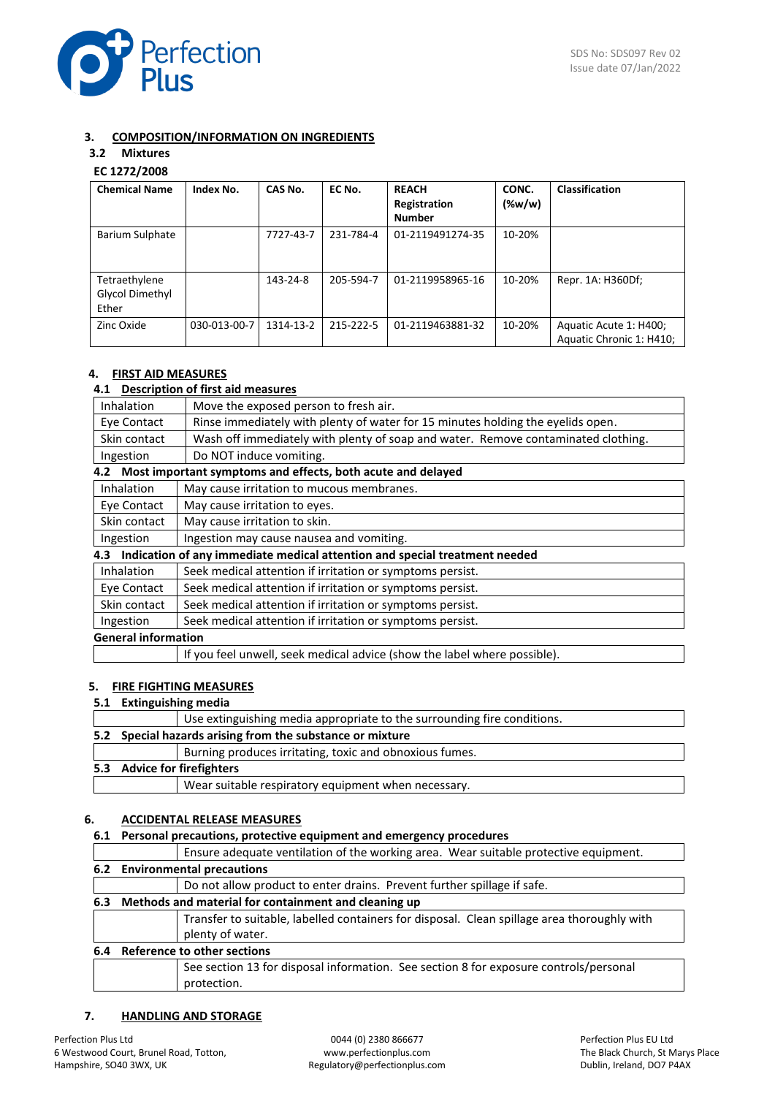

# **3. COMPOSITION/INFORMATION ON INGREDIENTS**

# **3.2 Mixtures**

# **EC 1272/2008**

| <b>Chemical Name</b>                      | Index No.    | CAS No.   | EC No.    | <b>REACH</b><br>Registration<br><b>Number</b> | CONC.<br>(%w/w) | <b>Classification</b>                              |
|-------------------------------------------|--------------|-----------|-----------|-----------------------------------------------|-----------------|----------------------------------------------------|
| <b>Barium Sulphate</b>                    |              | 7727-43-7 | 231-784-4 | 01-2119491274-35                              | 10-20%          |                                                    |
| Tetraethylene<br>Glycol Dimethyl<br>Ether |              | 143-24-8  | 205-594-7 | 01-2119958965-16                              | 10-20%          | Repr. 1A: H360Df;                                  |
| Zinc Oxide                                | 030-013-00-7 | 1314-13-2 | 215-222-5 | 01-2119463881-32                              | 10-20%          | Aquatic Acute 1: H400;<br>Aquatic Chronic 1: H410; |

# **4. FIRST AID MEASURES**

# **4.1 Description of first aid measures**

| Inhalation                                                             | Move the exposed person to fresh air.                                             |  |  |
|------------------------------------------------------------------------|-----------------------------------------------------------------------------------|--|--|
| Eye Contact                                                            | Rinse immediately with plenty of water for 15 minutes holding the eyelids open.   |  |  |
| Skin contact                                                           | Wash off immediately with plenty of soap and water. Remove contaminated clothing. |  |  |
| Ingestion                                                              | Do NOT induce vomiting.                                                           |  |  |
|                                                                        | 4.2 Most important symptoms and effects, both acute and delayed                   |  |  |
| Inhalation                                                             | May cause irritation to mucous membranes.                                         |  |  |
| Eye Contact                                                            | May cause irritation to eyes.                                                     |  |  |
| Skin contact                                                           | May cause irritation to skin.                                                     |  |  |
| Ingestion                                                              | Ingestion may cause nausea and vomiting.                                          |  |  |
|                                                                        | 4.3 Indication of any immediate medical attention and special treatment needed    |  |  |
| <b>Inhalation</b>                                                      | Seek medical attention if irritation or symptoms persist.                         |  |  |
| Eye Contact                                                            | Seek medical attention if irritation or symptoms persist.                         |  |  |
| Skin contact                                                           | Seek medical attention if irritation or symptoms persist.                         |  |  |
| Seek medical attention if irritation or symptoms persist.<br>Ingestion |                                                                                   |  |  |
| <b>General information</b>                                             |                                                                                   |  |  |
|                                                                        | If you feel unwell, seek medical advice (show the label where possible).          |  |  |

### **5. FIRE FIGHTING MEASURES**

#### **5.1 Extinguishing media**

|  | Use extinguishing media appropriate to the surrounding fire conditions. |
|--|-------------------------------------------------------------------------|
|  | 5.2 Special hazards arising from the substance or mixture               |
|  | Burning produces irritating, toxic and obnoxious fumes.                 |
|  | 5.3 Advice for firefighters                                             |
|  | Wear suitable respiratory equipment when necessary.                     |

# **6. ACCIDENTAL RELEASE MEASURES**

# **6.1 Personal precautions, protective equipment and emergency procedures**

|     |                               | Ensure adequate ventilation of the working area. Wear suitable protective equipment.        |  |
|-----|-------------------------------|---------------------------------------------------------------------------------------------|--|
|     | 6.2 Environmental precautions |                                                                                             |  |
|     |                               | Do not allow product to enter drains. Prevent further spillage if safe.                     |  |
| 6.3 |                               | Methods and material for containment and cleaning up                                        |  |
|     |                               | Transfer to suitable, labelled containers for disposal. Clean spillage area thoroughly with |  |
|     |                               | plenty of water.                                                                            |  |
| 6.4 |                               | Reference to other sections                                                                 |  |
|     |                               | See section 13 for disposal information. See section 8 for exposure controls/personal       |  |
|     |                               | protection.                                                                                 |  |

# **7. HANDLING AND STORAGE**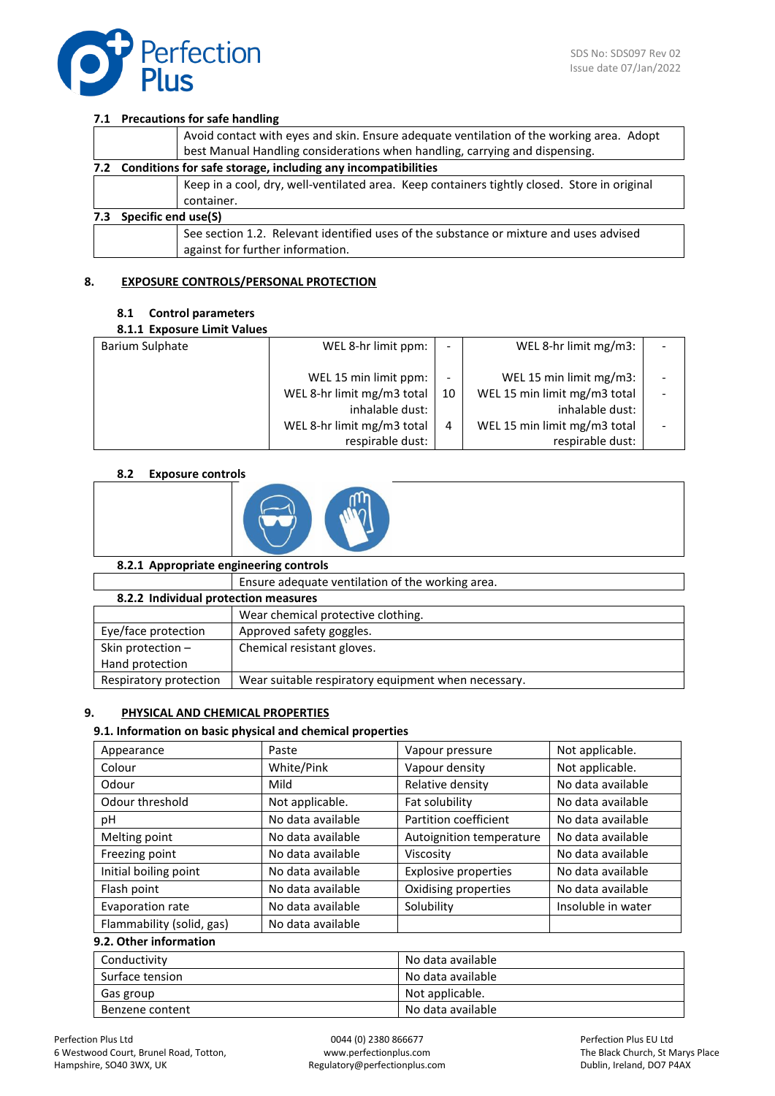

## **7.1 Precautions for safe handling**

|     |                                                                  | Avoid contact with eyes and skin. Ensure adequate ventilation of the working area. Adopt                                   |  |
|-----|------------------------------------------------------------------|----------------------------------------------------------------------------------------------------------------------------|--|
|     |                                                                  | best Manual Handling considerations when handling, carrying and dispensing.                                                |  |
|     | 7.2 Conditions for safe storage, including any incompatibilities |                                                                                                                            |  |
|     |                                                                  | Keep in a cool, dry, well-ventilated area. Keep containers tightly closed. Store in original<br>container.                 |  |
| 7.3 | Specific end use(S)                                              |                                                                                                                            |  |
|     |                                                                  | See section 1.2. Relevant identified uses of the substance or mixture and uses advised<br>against for further information. |  |

# **8. EXPOSURE CONTROLS/PERSONAL PROTECTION**

### **8.1 Control parameters**

### **8.1.1 Exposure Limit Values**

| <u>UILIL LADUJUIL LIIIIII VUIMLJ</u> |                                                                                                                          |         |                                                                                                                                |  |
|--------------------------------------|--------------------------------------------------------------------------------------------------------------------------|---------|--------------------------------------------------------------------------------------------------------------------------------|--|
| Barium Sulphate                      | WEL 8-hr limit ppm:                                                                                                      |         | WEL 8-hr limit mg/m3:                                                                                                          |  |
|                                      | WEL 15 min limit ppm:<br>WEL 8-hr limit mg/m3 total<br>inhalable dust:<br>WEL 8-hr limit mg/m3 total<br>respirable dust: | 10<br>4 | WEL 15 min limit mg/m3:<br>WEL 15 min limit mg/m3 total<br>inhalable dust:<br>WEL 15 min limit mg/m3 total<br>respirable dust: |  |
|                                      |                                                                                                                          |         |                                                                                                                                |  |

# **8.2 Exposure controls**



# **8.2.1 Appropriate engineering controls**

|                                      | Ensure adequate ventilation of the working area.    |  |  |  |
|--------------------------------------|-----------------------------------------------------|--|--|--|
| 8.2.2 Individual protection measures |                                                     |  |  |  |
|                                      | Wear chemical protective clothing.                  |  |  |  |
| Eye/face protection                  | Approved safety goggles.                            |  |  |  |
| Skin protection -                    | Chemical resistant gloves.                          |  |  |  |
| Hand protection                      |                                                     |  |  |  |
| Respiratory protection               | Wear suitable respiratory equipment when necessary. |  |  |  |
|                                      |                                                     |  |  |  |

# **9. PHYSICAL AND CHEMICAL PROPERTIES**

# **9.1. Information on basic physical and chemical properties**

| Appearance                | Paste             | Vapour pressure             | Not applicable.    |
|---------------------------|-------------------|-----------------------------|--------------------|
| Colour                    | White/Pink        | Vapour density              | Not applicable.    |
| Odour                     | Mild              | Relative density            | No data available  |
| Odour threshold           | Not applicable.   | Fat solubility              | No data available  |
| рH                        | No data available | Partition coefficient       | No data available  |
| Melting point             | No data available | Autoignition temperature    | No data available  |
| Freezing point            | No data available | Viscosity                   | No data available  |
| Initial boiling point     | No data available | <b>Explosive properties</b> | No data available  |
| Flash point               | No data available | Oxidising properties        | No data available  |
| Evaporation rate          | No data available | Solubility                  | Insoluble in water |
| Flammability (solid, gas) | No data available |                             |                    |
| 9.2. Other information    |                   |                             |                    |

# Conductivity **Conductivity No data available** Surface tension No data available Gas group and the contract of the contract of the Not applicable. Benzene content No data available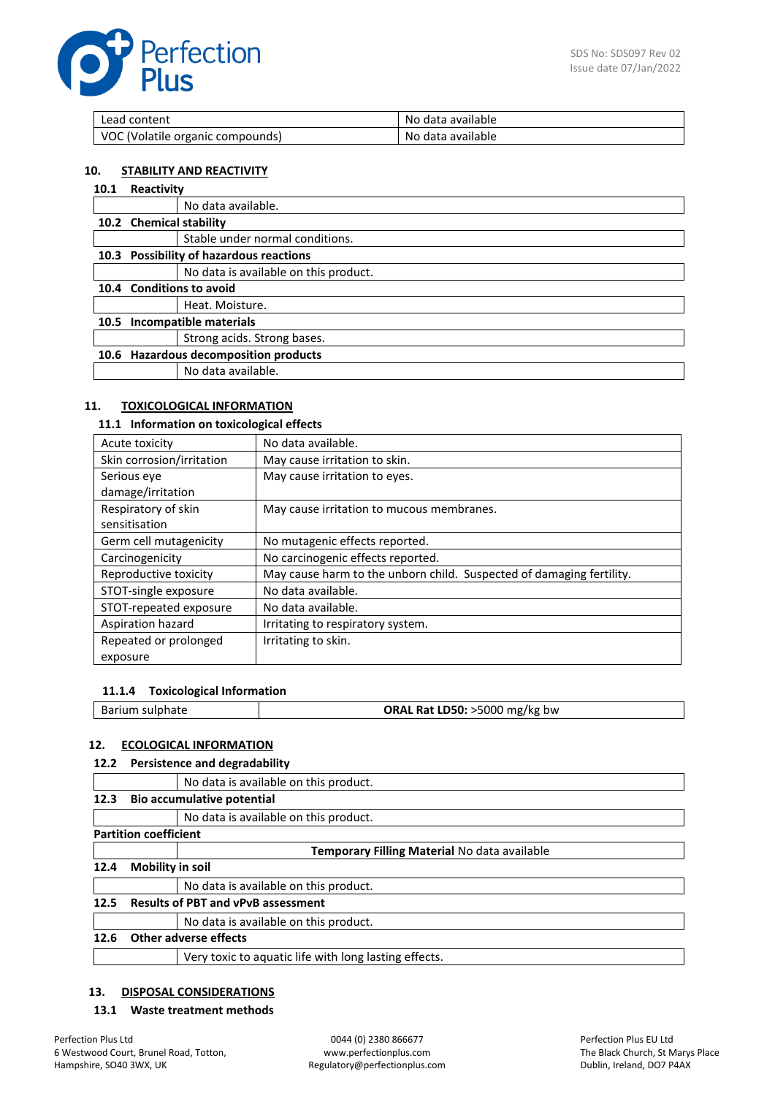

| Lead content                     | No data available |
|----------------------------------|-------------------|
| VOC (Volatile organic compounds) | No data available |

#### **10. STABILITY AND REACTIVITY**

#### **10.1 Reactivity**

|                                | No data available.                      |  |
|--------------------------------|-----------------------------------------|--|
| 10.2 Chemical stability        |                                         |  |
|                                | Stable under normal conditions.         |  |
|                                | 10.3 Possibility of hazardous reactions |  |
|                                | No data is available on this product.   |  |
|                                | 10.4 Conditions to avoid                |  |
|                                | Heat. Moisture.                         |  |
| Incompatible materials<br>10.5 |                                         |  |
|                                | Strong acids. Strong bases.             |  |
|                                | <b>Hazardous decomposition products</b> |  |
|                                | No data available.                      |  |
|                                |                                         |  |

### **11. TOXICOLOGICAL INFORMATION**

# **11.1 Information on toxicological effects**

| Acute toxicity            | No data available.                                                   |
|---------------------------|----------------------------------------------------------------------|
| Skin corrosion/irritation | May cause irritation to skin.                                        |
| Serious eye               | May cause irritation to eyes.                                        |
| damage/irritation         |                                                                      |
| Respiratory of skin       | May cause irritation to mucous membranes.                            |
| sensitisation             |                                                                      |
| Germ cell mutagenicity    | No mutagenic effects reported.                                       |
| Carcinogenicity           | No carcinogenic effects reported.                                    |
| Reproductive toxicity     | May cause harm to the unborn child. Suspected of damaging fertility. |
| STOT-single exposure      | No data available.                                                   |
| STOT-repeated exposure    | No data available.                                                   |
| Aspiration hazard         | Irritating to respiratory system.                                    |
| Repeated or prolonged     | Irritating to skin.                                                  |
| exposure                  |                                                                      |

### **11.1.4 Toxicological Information**

| ORAL Rat LD50: >5000 mg/kg bw<br>Barium sulphate |
|--------------------------------------------------|
|--------------------------------------------------|

### **12. ECOLOGICAL INFORMATION**

## **12.2 Persistence and degradability**

|      | No data is available on this product.                 |  |  |
|------|-------------------------------------------------------|--|--|
| 12.3 | <b>Bio accumulative potential</b>                     |  |  |
|      | No data is available on this product.                 |  |  |
|      | <b>Partition coefficient</b>                          |  |  |
|      | Temporary Filling Material No data available          |  |  |
| 12.4 | Mobility in soil                                      |  |  |
|      | No data is available on this product.                 |  |  |
| 12.5 | <b>Results of PBT and vPvB assessment</b>             |  |  |
|      | No data is available on this product.                 |  |  |
| 12.6 | <b>Other adverse effects</b>                          |  |  |
|      | Very toxic to aquatic life with long lasting effects. |  |  |

### **13. DISPOSAL CONSIDERATIONS**

### **13.1 Waste treatment methods**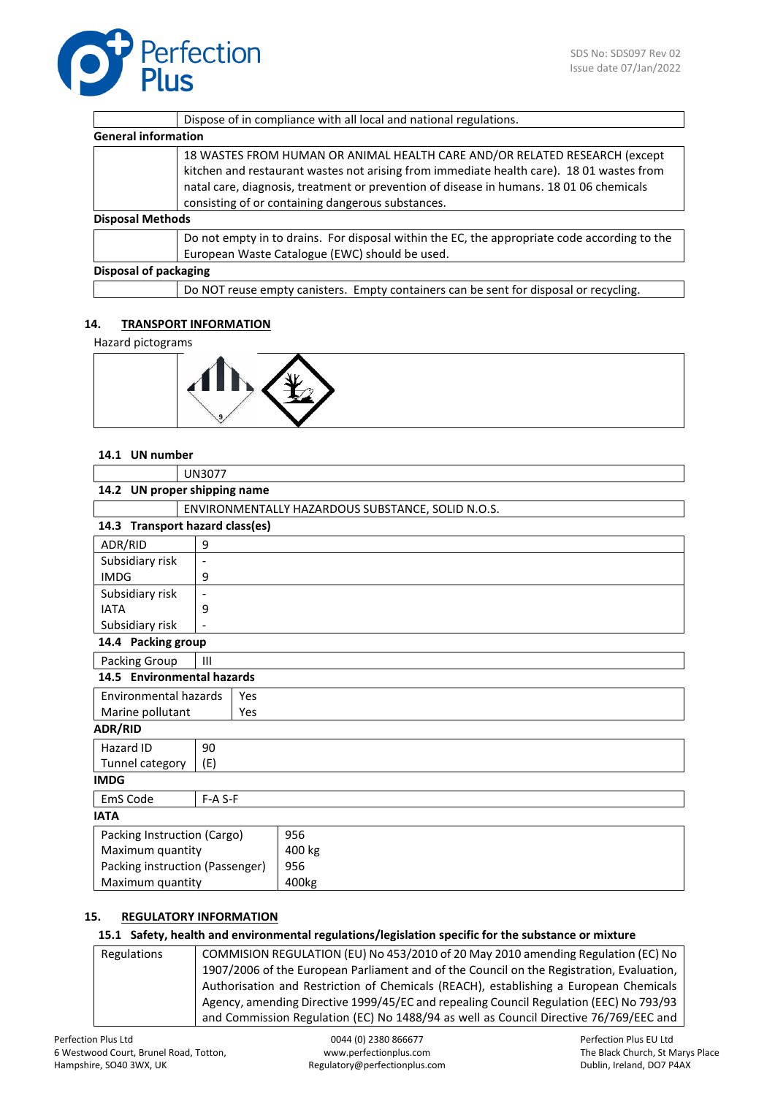|                            | Dispose of in compliance with all local and national regulations.                                                                                                                                                                                                                                                      |  |
|----------------------------|------------------------------------------------------------------------------------------------------------------------------------------------------------------------------------------------------------------------------------------------------------------------------------------------------------------------|--|
| <b>General information</b> |                                                                                                                                                                                                                                                                                                                        |  |
|                            | 18 WASTES FROM HUMAN OR ANIMAL HEALTH CARE AND/OR RELATED RESEARCH (except<br>kitchen and restaurant wastes not arising from immediate health care). 18 01 wastes from<br>natal care, diagnosis, treatment or prevention of disease in humans. 18 01 06 chemicals<br>consisting of or containing dangerous substances. |  |
| <b>Disposal Methods</b>    |                                                                                                                                                                                                                                                                                                                        |  |
|                            | Do not empty in to drains. For disposal within the EC, the appropriate code according to the<br>European Waste Catalogue (EWC) should be used.                                                                                                                                                                         |  |
| Disposal of packaging      |                                                                                                                                                                                                                                                                                                                        |  |
|                            | Do NOT reuse empty canisters. Empty containers can be sent for disposal or recycling.                                                                                                                                                                                                                                  |  |

# **14. TRANSPORT INFORMATION**

Hazard pictograms



### **14.1 UN number**

|                                     | <b>UN3077</b>                                   |                                                   |  |  |
|-------------------------------------|-------------------------------------------------|---------------------------------------------------|--|--|
|                                     | 14.2 UN proper shipping name                    |                                                   |  |  |
|                                     |                                                 | ENVIRONMENTALLY HAZARDOUS SUBSTANCE, SOLID N.O.S. |  |  |
| 14.3 Transport hazard class(es)     |                                                 |                                                   |  |  |
| ADR/RID                             | 9                                               |                                                   |  |  |
| Subsidiary risk                     | $\overline{\phantom{a}}$                        |                                                   |  |  |
| <b>IMDG</b>                         | 9                                               |                                                   |  |  |
| Subsidiary risk                     | $\overline{\phantom{0}}$                        |                                                   |  |  |
| <b>IATA</b>                         | 9                                               |                                                   |  |  |
|                                     | Subsidiary risk<br>$\qquad \qquad \blacksquare$ |                                                   |  |  |
| 14.4 Packing group                  |                                                 |                                                   |  |  |
| Packing Group<br>III                |                                                 |                                                   |  |  |
| 14.5 Environmental hazards          |                                                 |                                                   |  |  |
| Environmental hazards<br><b>Yes</b> |                                                 |                                                   |  |  |
| Marine pollutant<br>Yes             |                                                 |                                                   |  |  |
| <b>ADR/RID</b>                      |                                                 |                                                   |  |  |
| Hazard ID                           | 90                                              |                                                   |  |  |
| Tunnel category                     | (E)                                             |                                                   |  |  |
| <b>IMDG</b>                         |                                                 |                                                   |  |  |
| EmS Code                            | F-A S-F                                         |                                                   |  |  |
| <b>IATA</b>                         |                                                 |                                                   |  |  |
| Packing Instruction (Cargo)         |                                                 | 956                                               |  |  |
| Maximum quantity                    |                                                 | 400 kg                                            |  |  |
| Packing instruction (Passenger)     |                                                 | 956                                               |  |  |
|                                     | Maximum quantity<br>400kg                       |                                                   |  |  |

### **15. REGULATORY INFORMATION**

# **15.1 Safety, health and environmental regulations/legislation specific for the substance or mixture**

Regulations COMMISION REGULATION (EU) No 453/2010 of 20 May 2010 amending Regulation (EC) No 1907/2006 of the European Parliament and of the Council on the Registration, Evaluation, Authorisation and Restriction of Chemicals (REACH), establishing a European Chemicals Agency, amending Directive 1999/45/EC and repealing Council Regulation (EEC) No 793/93 and Commission Regulation (EC) No 1488/94 as well as Council Directive 76/769/EEC and